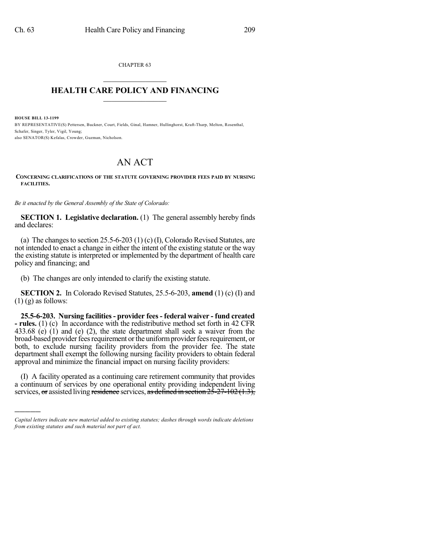CHAPTER 63  $\mathcal{L}_\text{max}$  . The set of the set of the set of the set of the set of the set of the set of the set of the set of the set of the set of the set of the set of the set of the set of the set of the set of the set of the set

## **HEALTH CARE POLICY AND FINANCING**  $\_$   $\_$   $\_$   $\_$   $\_$   $\_$   $\_$   $\_$

**HOUSE BILL 13-1199**

)))))

BY REPRESENTATIVE(S) Pettersen, Buckner, Court, Fields, Ginal, Hamner, Hullinghorst, Kraft-Tharp, Melton, Rosenthal, Schafer, Singer, Tyler, Vigil, Young; also SENATOR(S) Kefalas, Crowder, Guzman, Nicholson.

## AN ACT

## **CONCERNING CLARIFICATIONS OF THE STATUTE GOVERNING PROVIDER FEES PAID BY NURSING FACILITIES.**

*Be it enacted by the General Assembly of the State of Colorado:*

**SECTION 1. Legislative declaration.** (1) The general assembly hereby finds and declares:

(a) The changes to section  $25.5-6-203$  (1) (c) (I), Colorado Revised Statutes, are not intended to enact a change in either the intent of the existing statute or the way the existing statute is interpreted or implemented by the department of health care policy and financing; and

(b) The changes are only intended to clarify the existing statute.

**SECTION 2.** In Colorado Revised Statutes, 25.5-6-203, **amend** (1) (c) (I) and  $(1)$  (g) as follows:

**25.5-6-203. Nursing facilities- provider fees - federal waiver - fund created - rules.** (1) (c) In accordance with the redistributive method set forth in 42 CFR 433.68 (e) (1) and (e) (2), the state department shall seek a waiver from the broad-based provider fees requirement or the uniform provider fees requirement, or both, to exclude nursing facility providers from the provider fee. The state department shall exempt the following nursing facility providers to obtain federal approval and minimize the financial impact on nursing facility providers:

(I) A facility operated as a continuing care retirement community that provides a continuum of services by one operational entity providing independent living services, or assisted living residence services, as defined in section  $2\overline{5}$ - $27$ - $102(1.3)$ ,

*Capital letters indicate new material added to existing statutes; dashes through words indicate deletions from existing statutes and such material not part of act.*